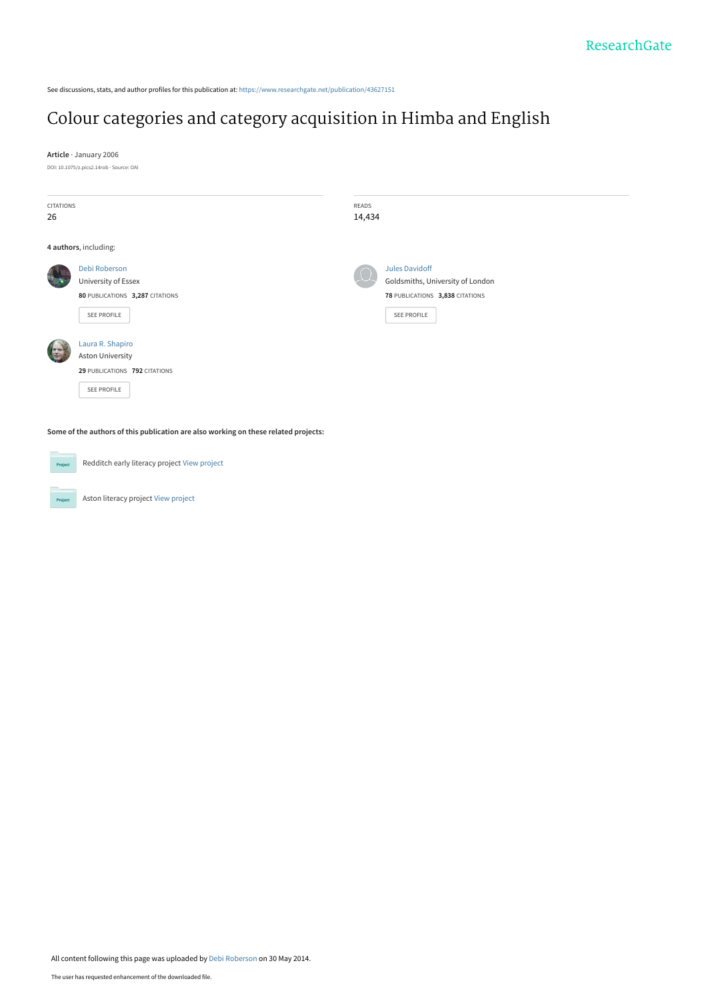See discussions, stats, and author profiles for this publication at: [https://www.researchgate.net/publication/43627151](https://www.researchgate.net/publication/43627151_Colour_categories_and_category_acquisition_in_Himba_and_English?enrichId=rgreq-4b2ada0af00c9a5755751efd101d412d-XXX&enrichSource=Y292ZXJQYWdlOzQzNjI3MTUxO0FTOjEwMjQ4MzgzMzY1NTI5NkAxNDAxNDQ1NDU4MTE1&el=1_x_2&_esc=publicationCoverPdf)

## [Colour categories and category acquisition in Himba and English](https://www.researchgate.net/publication/43627151_Colour_categories_and_category_acquisition_in_Himba_and_English?enrichId=rgreq-4b2ada0af00c9a5755751efd101d412d-XXX&enrichSource=Y292ZXJQYWdlOzQzNjI3MTUxO0FTOjEwMjQ4MzgzMzY1NTI5NkAxNDAxNDQ1NDU4MTE1&el=1_x_3&_esc=publicationCoverPdf)

**Article** · January 2006 DOI: 10.1075/z.pics2.14rob · Source: OAI

| <b>CITATIONS</b><br>26                                                              |                                                                                                    | READS<br>14,434 |                                                                                                      |
|-------------------------------------------------------------------------------------|----------------------------------------------------------------------------------------------------|-----------------|------------------------------------------------------------------------------------------------------|
| 4 authors, including:                                                               |                                                                                                    |                 |                                                                                                      |
|                                                                                     | Debi Roberson<br>University of Essex<br>80 PUBLICATIONS 3,287 CITATIONS<br>SEE PROFILE             |                 | Jules Davidoff<br>Goldsmiths, University of London<br>78 PUBLICATIONS 3,838 CITATIONS<br>SEE PROFILE |
|                                                                                     | Laura R. Shapiro<br><b>Aston University</b><br>29 PUBLICATIONS 792 CITATIONS<br><b>SEE PROFILE</b> |                 |                                                                                                      |
| Some of the authors of this publication are also working on these related projects: |                                                                                                    |                 |                                                                                                      |

Project Redditch early literacy project [View project](https://www.researchgate.net/project/Redditch-early-literacy-project?enrichId=rgreq-4b2ada0af00c9a5755751efd101d412d-XXX&enrichSource=Y292ZXJQYWdlOzQzNjI3MTUxO0FTOjEwMjQ4MzgzMzY1NTI5NkAxNDAxNDQ1NDU4MTE1&el=1_x_9&_esc=publicationCoverPdf) Aston literacy project [View project](https://www.researchgate.net/project/Aston-literacy-project?enrichId=rgreq-4b2ada0af00c9a5755751efd101d412d-XXX&enrichSource=Y292ZXJQYWdlOzQzNjI3MTUxO0FTOjEwMjQ4MzgzMzY1NTI5NkAxNDAxNDQ1NDU4MTE1&el=1_x_9&_esc=publicationCoverPdf) Project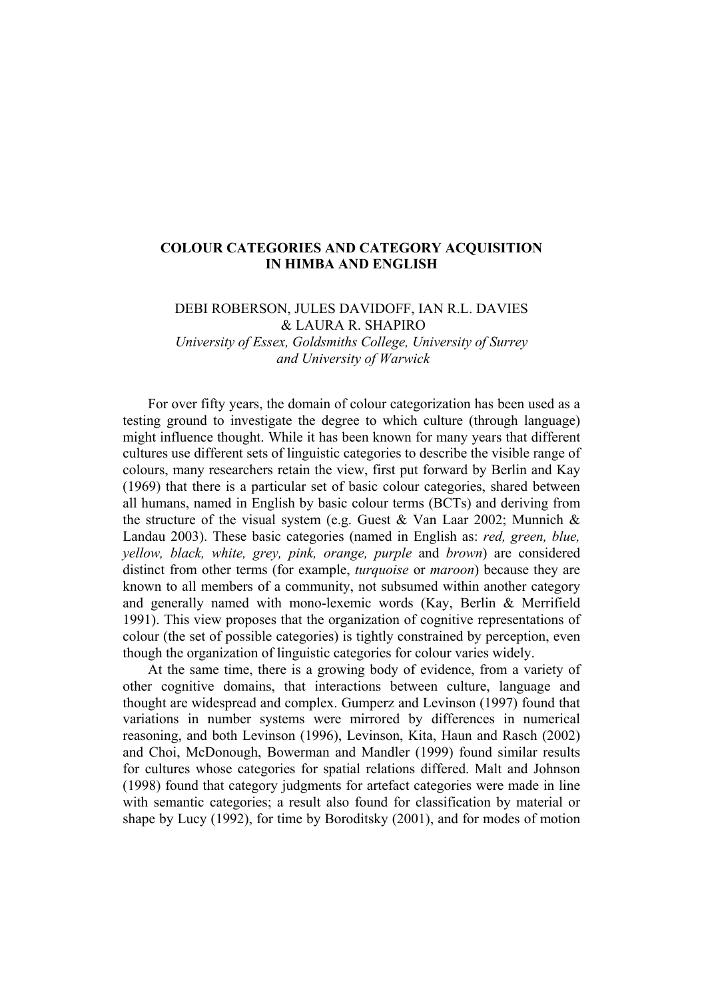## **COLOUR CATEGORIES AND CATEGORY ACQUISITION IN HIMBA AND ENGLISH**

## DEBI ROBERSON, JULES DAVIDOFF, IAN R.L. DAVIES & LAURA R. SHAPIRO

*University of Essex, Goldsmiths College, University of Surrey and University of Warwick* 

For over fifty years, the domain of colour categorization has been used as a testing ground to investigate the degree to which culture (through language) might influence thought. While it has been known for many years that different cultures use different sets of linguistic categories to describe the visible range of colours, many researchers retain the view, first put forward by Berlin and Kay (1969) that there is a particular set of basic colour categories, shared between all humans, named in English by basic colour terms (BCTs) and deriving from the structure of the visual system (e.g. Guest & Van Laar 2002; Munnich  $\&$ Landau 2003). These basic categories (named in English as: *red, green, blue, yellow, black, white, grey, pink, orange, purple* and *brown*) are considered distinct from other terms (for example, *turquoise* or *maroon*) because they are known to all members of a community, not subsumed within another category and generally named with mono-lexemic words (Kay, Berlin & Merrifield 1991). This view proposes that the organization of cognitive representations of colour (the set of possible categories) is tightly constrained by perception, even though the organization of linguistic categories for colour varies widely.

At the same time, there is a growing body of evidence, from a variety of other cognitive domains, that interactions between culture, language and thought are widespread and complex. Gumperz and Levinson (1997) found that variations in number systems were mirrored by differences in numerical reasoning, and both Levinson (1996), Levinson, Kita, Haun and Rasch (2002) and Choi, McDonough, Bowerman and Mandler (1999) found similar results for cultures whose categories for spatial relations differed. Malt and Johnson (1998) found that category judgments for artefact categories were made in line with semantic categories; a result also found for classification by material or shape by Lucy (1992), for time by Boroditsky (2001), and for modes of motion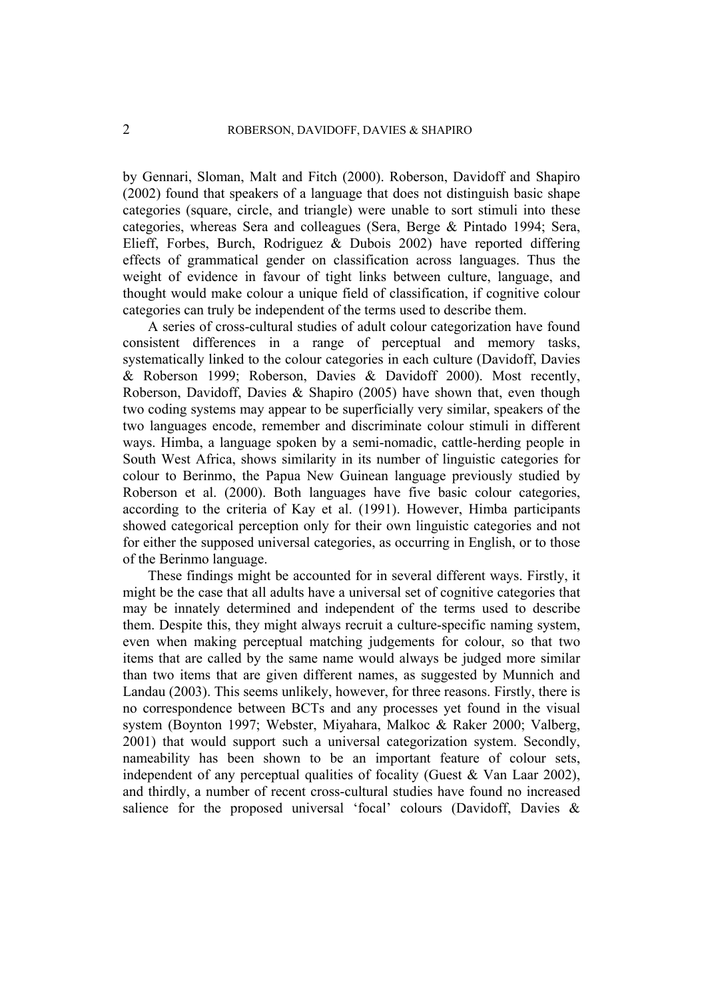by Gennari, Sloman, Malt and Fitch (2000). Roberson, Davidoff and Shapiro (2002) found that speakers of a language that does not distinguish basic shape categories (square, circle, and triangle) were unable to sort stimuli into these categories, whereas Sera and colleagues (Sera, Berge & Pintado 1994; Sera, Elieff, Forbes, Burch, Rodriguez & Dubois 2002) have reported differing effects of grammatical gender on classification across languages. Thus the weight of evidence in favour of tight links between culture, language, and thought would make colour a unique field of classification, if cognitive colour categories can truly be independent of the terms used to describe them.

A series of cross-cultural studies of adult colour categorization have found consistent differences in a range of perceptual and memory tasks, systematically linked to the colour categories in each culture (Davidoff, Davies & Roberson 1999; Roberson, Davies & Davidoff 2000). Most recently, Roberson, Davidoff, Davies & Shapiro (2005) have shown that, even though two coding systems may appear to be superficially very similar, speakers of the two languages encode, remember and discriminate colour stimuli in different ways. Himba, a language spoken by a semi-nomadic, cattle-herding people in South West Africa, shows similarity in its number of linguistic categories for colour to Berinmo, the Papua New Guinean language previously studied by Roberson et al. (2000). Both languages have five basic colour categories, according to the criteria of Kay et al. (1991). However, Himba participants showed categorical perception only for their own linguistic categories and not for either the supposed universal categories, as occurring in English, or to those of the Berinmo language.

These findings might be accounted for in several different ways. Firstly, it might be the case that all adults have a universal set of cognitive categories that may be innately determined and independent of the terms used to describe them. Despite this, they might always recruit a culture-specific naming system, even when making perceptual matching judgements for colour, so that two items that are called by the same name would always be judged more similar than two items that are given different names, as suggested by Munnich and Landau (2003). This seems unlikely, however, for three reasons. Firstly, there is no correspondence between BCTs and any processes yet found in the visual system (Boynton 1997; Webster, Miyahara, Malkoc & Raker 2000; Valberg, 2001) that would support such a universal categorization system. Secondly, nameability has been shown to be an important feature of colour sets, independent of any perceptual qualities of focality (Guest & Van Laar 2002), and thirdly, a number of recent cross-cultural studies have found no increased salience for the proposed universal 'focal' colours (Davidoff, Davies &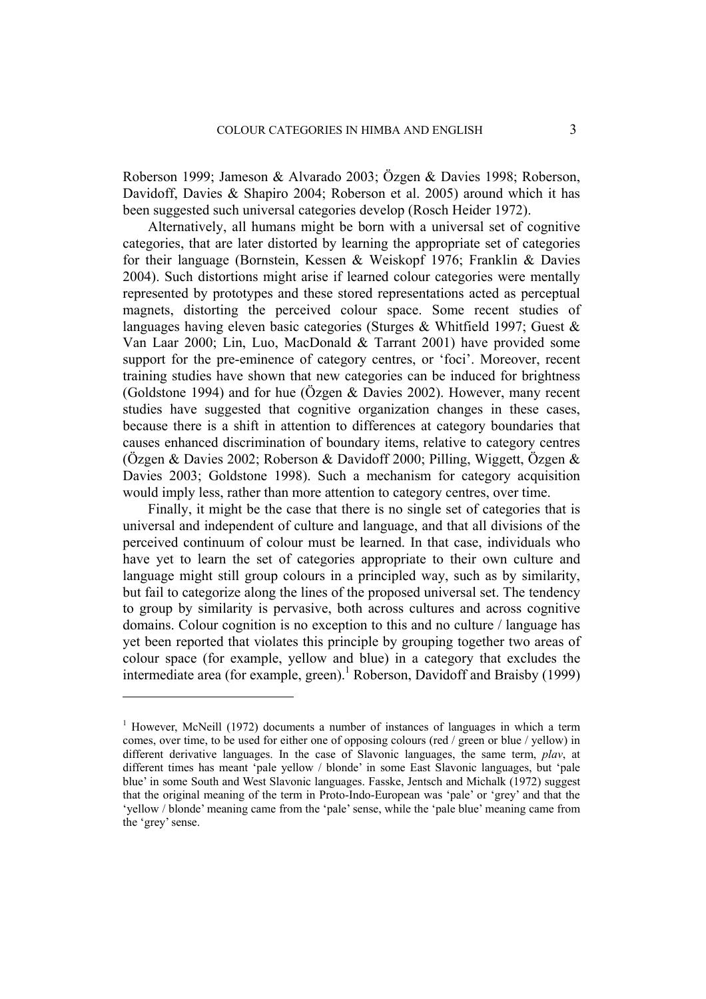Roberson 1999; Jameson & Alvarado 2003; Özgen & Davies 1998; Roberson, Davidoff, Davies & Shapiro 2004; Roberson et al. 2005) around which it has been suggested such universal categories develop (Rosch Heider 1972).

Alternatively, all humans might be born with a universal set of cognitive categories, that are later distorted by learning the appropriate set of categories for their language (Bornstein, Kessen & Weiskopf 1976; Franklin & Davies 2004). Such distortions might arise if learned colour categories were mentally represented by prototypes and these stored representations acted as perceptual magnets, distorting the perceived colour space. Some recent studies of languages having eleven basic categories (Sturges & Whitfield 1997; Guest & Van Laar 2000; Lin, Luo, MacDonald & Tarrant 2001) have provided some support for the pre-eminence of category centres, or 'foci'. Moreover, recent training studies have shown that new categories can be induced for brightness (Goldstone 1994) and for hue (Özgen & Davies 2002). However, many recent studies have suggested that cognitive organization changes in these cases, because there is a shift in attention to differences at category boundaries that causes enhanced discrimination of boundary items, relative to category centres (Özgen & Davies 2002; Roberson & Davidoff 2000; Pilling, Wiggett, Özgen & Davies 2003; Goldstone 1998). Such a mechanism for category acquisition would imply less, rather than more attention to category centres, over time.

Finally, it might be the case that there is no single set of categories that is universal and independent of culture and language, and that all divisions of the perceived continuum of colour must be learned. In that case, individuals who have yet to learn the set of categories appropriate to their own culture and language might still group colours in a principled way, such as by similarity, but fail to categorize along the lines of the proposed universal set. The tendency to group by similarity is pervasive, both across cultures and across cognitive domains. Colour cognition is no exception to this and no culture / language has yet been reported that violates this principle by grouping together two areas of colour space (for example, yellow and blue) in a category that excludes the intermediate area (for example, green).<sup>[1](#page-3-0)</sup> Roberson, Davidoff and Braisby (1999)

 $\overline{a}$ 

<span id="page-3-0"></span><sup>&</sup>lt;sup>1</sup> However, McNeill (1972) documents a number of instances of languages in which a term comes, over time, to be used for either one of opposing colours (red / green or blue / yellow) in different derivative languages. In the case of Slavonic languages, the same term, *plav*, at different times has meant 'pale yellow / blonde' in some East Slavonic languages, but 'pale blue' in some South and West Slavonic languages. Fasske, Jentsch and Michalk (1972) suggest that the original meaning of the term in Proto-Indo-European was 'pale' or 'grey' and that the 'yellow / blonde' meaning came from the 'pale' sense, while the 'pale blue' meaning came from the 'grey' sense.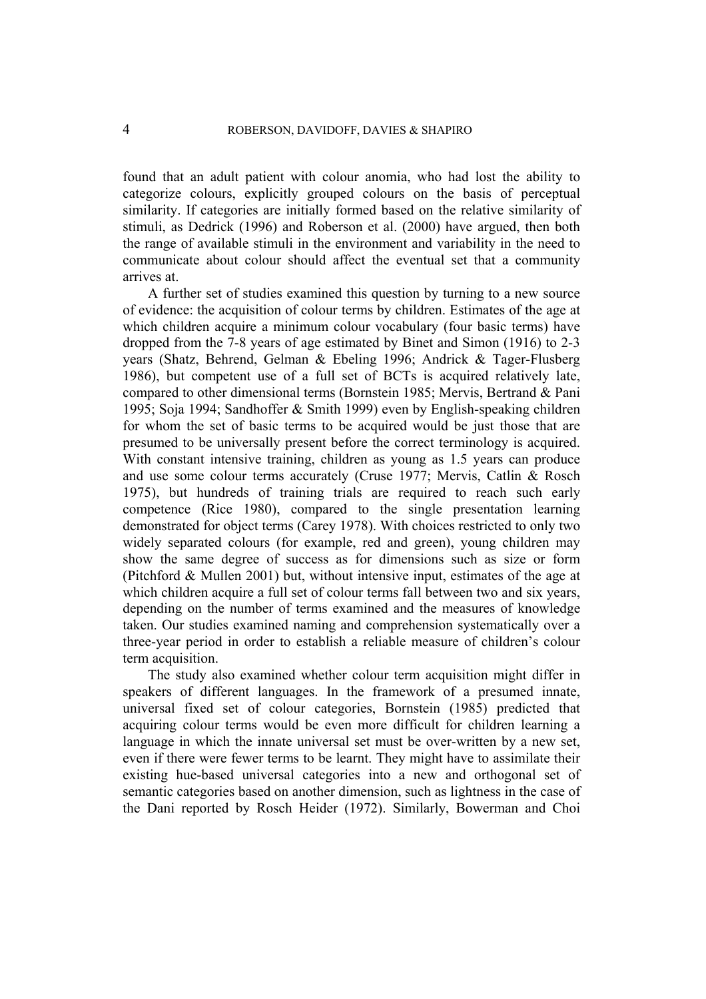found that an adult patient with colour anomia, who had lost the ability to categorize colours, explicitly grouped colours on the basis of perceptual similarity. If categories are initially formed based on the relative similarity of stimuli, as Dedrick (1996) and Roberson et al. (2000) have argued, then both the range of available stimuli in the environment and variability in the need to communicate about colour should affect the eventual set that a community arrives at.

A further set of studies examined this question by turning to a new source of evidence: the acquisition of colour terms by children. Estimates of the age at which children acquire a minimum colour vocabulary (four basic terms) have dropped from the 7-8 years of age estimated by Binet and Simon (1916) to 2-3 years (Shatz, Behrend, Gelman & Ebeling 1996; Andrick & Tager-Flusberg 1986), but competent use of a full set of BCTs is acquired relatively late, compared to other dimensional terms (Bornstein 1985; Mervis, Bertrand & Pani 1995; Soja 1994; Sandhoffer & Smith 1999) even by English-speaking children for whom the set of basic terms to be acquired would be just those that are presumed to be universally present before the correct terminology is acquired. With constant intensive training, children as young as 1.5 years can produce and use some colour terms accurately (Cruse 1977; Mervis, Catlin & Rosch 1975), but hundreds of training trials are required to reach such early competence (Rice 1980), compared to the single presentation learning demonstrated for object terms (Carey 1978). With choices restricted to only two widely separated colours (for example, red and green), young children may show the same degree of success as for dimensions such as size or form (Pitchford & Mullen 2001) but, without intensive input, estimates of the age at which children acquire a full set of colour terms fall between two and six years. depending on the number of terms examined and the measures of knowledge taken. Our studies examined naming and comprehension systematically over a three-year period in order to establish a reliable measure of children's colour term acquisition.

The study also examined whether colour term acquisition might differ in speakers of different languages. In the framework of a presumed innate, universal fixed set of colour categories, Bornstein (1985) predicted that acquiring colour terms would be even more difficult for children learning a language in which the innate universal set must be over-written by a new set, even if there were fewer terms to be learnt. They might have to assimilate their existing hue-based universal categories into a new and orthogonal set of semantic categories based on another dimension, such as lightness in the case of the Dani reported by Rosch Heider (1972). Similarly, Bowerman and Choi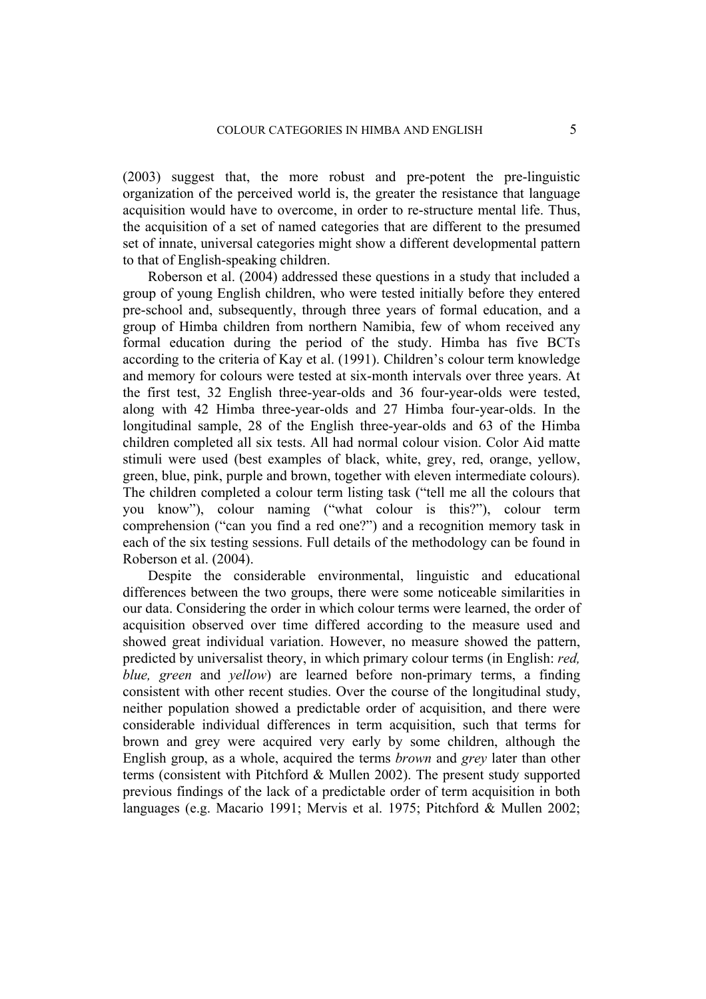(2003) suggest that, the more robust and pre-potent the pre-linguistic organization of the perceived world is, the greater the resistance that language acquisition would have to overcome, in order to re-structure mental life. Thus, the acquisition of a set of named categories that are different to the presumed set of innate, universal categories might show a different developmental pattern to that of English-speaking children.

Roberson et al. (2004) addressed these questions in a study that included a group of young English children, who were tested initially before they entered pre-school and, subsequently, through three years of formal education, and a group of Himba children from northern Namibia, few of whom received any formal education during the period of the study. Himba has five BCTs according to the criteria of Kay et al. (1991). Children's colour term knowledge and memory for colours were tested at six-month intervals over three years. At the first test, 32 English three-year-olds and 36 four-year-olds were tested, along with 42 Himba three-year-olds and 27 Himba four-year-olds. In the longitudinal sample, 28 of the English three-year-olds and 63 of the Himba children completed all six tests. All had normal colour vision. Color Aid matte stimuli were used (best examples of black, white, grey, red, orange, yellow, green, blue, pink, purple and brown, together with eleven intermediate colours). The children completed a colour term listing task ("tell me all the colours that you know"), colour naming ("what colour is this?"), colour term comprehension ("can you find a red one?") and a recognition memory task in each of the six testing sessions. Full details of the methodology can be found in Roberson et al. (2004).

Despite the considerable environmental, linguistic and educational differences between the two groups, there were some noticeable similarities in our data. Considering the order in which colour terms were learned, the order of acquisition observed over time differed according to the measure used and showed great individual variation. However, no measure showed the pattern, predicted by universalist theory, in which primary colour terms (in English: *red, blue, green* and *yellow*) are learned before non-primary terms, a finding consistent with other recent studies. Over the course of the longitudinal study, neither population showed a predictable order of acquisition, and there were considerable individual differences in term acquisition, such that terms for brown and grey were acquired very early by some children, although the English group, as a whole, acquired the terms *brown* and *grey* later than other terms (consistent with Pitchford & Mullen 2002). The present study supported previous findings of the lack of a predictable order of term acquisition in both languages (e.g. Macario 1991; Mervis et al. 1975; Pitchford & Mullen 2002;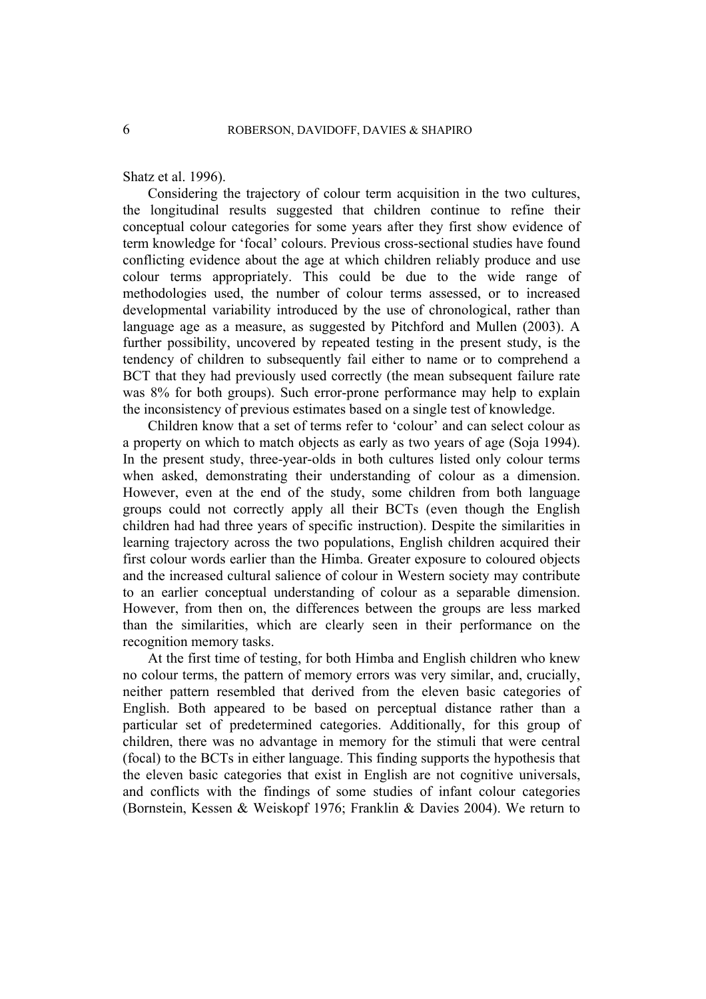Shatz et al. 1996).

Considering the trajectory of colour term acquisition in the two cultures, the longitudinal results suggested that children continue to refine their conceptual colour categories for some years after they first show evidence of term knowledge for 'focal' colours. Previous cross-sectional studies have found conflicting evidence about the age at which children reliably produce and use colour terms appropriately. This could be due to the wide range of methodologies used, the number of colour terms assessed, or to increased developmental variability introduced by the use of chronological, rather than language age as a measure, as suggested by Pitchford and Mullen (2003). A further possibility, uncovered by repeated testing in the present study, is the tendency of children to subsequently fail either to name or to comprehend a BCT that they had previously used correctly (the mean subsequent failure rate was 8% for both groups). Such error-prone performance may help to explain the inconsistency of previous estimates based on a single test of knowledge.

Children know that a set of terms refer to 'colour' and can select colour as a property on which to match objects as early as two years of age (Soja 1994). In the present study, three-year-olds in both cultures listed only colour terms when asked, demonstrating their understanding of colour as a dimension. However, even at the end of the study, some children from both language groups could not correctly apply all their BCTs (even though the English children had had three years of specific instruction). Despite the similarities in learning trajectory across the two populations, English children acquired their first colour words earlier than the Himba. Greater exposure to coloured objects and the increased cultural salience of colour in Western society may contribute to an earlier conceptual understanding of colour as a separable dimension. However, from then on, the differences between the groups are less marked than the similarities, which are clearly seen in their performance on the recognition memory tasks.

At the first time of testing, for both Himba and English children who knew no colour terms, the pattern of memory errors was very similar, and, crucially, neither pattern resembled that derived from the eleven basic categories of English. Both appeared to be based on perceptual distance rather than a particular set of predetermined categories. Additionally, for this group of children, there was no advantage in memory for the stimuli that were central (focal) to the BCTs in either language. This finding supports the hypothesis that the eleven basic categories that exist in English are not cognitive universals, and conflicts with the findings of some studies of infant colour categories (Bornstein, Kessen & Weiskopf 1976; Franklin & Davies 2004). We return to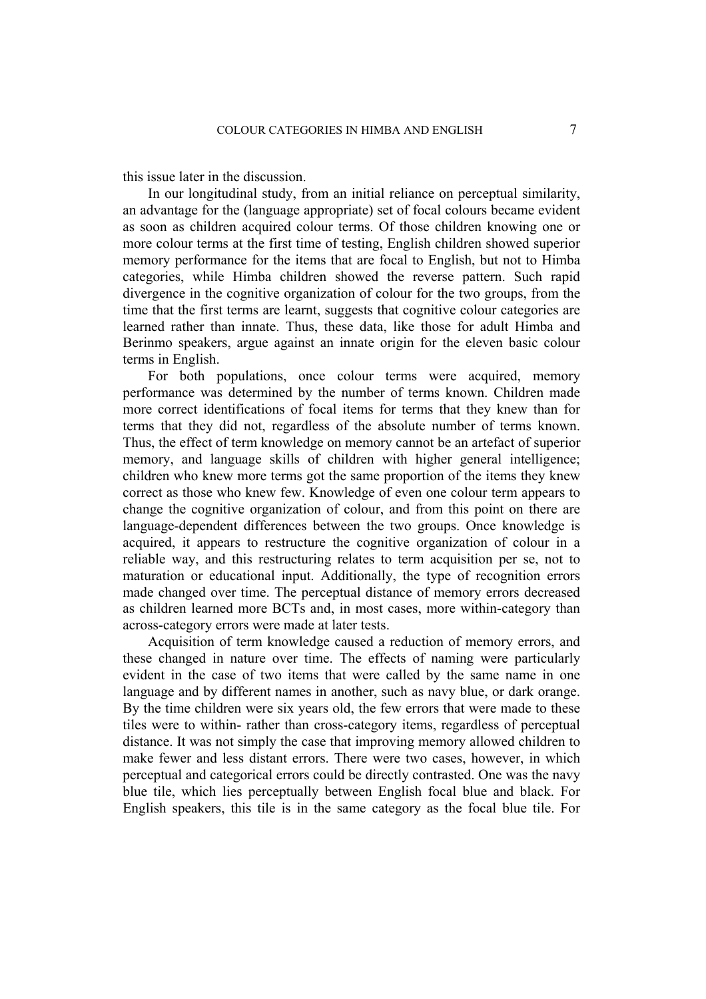this issue later in the discussion.

In our longitudinal study, from an initial reliance on perceptual similarity, an advantage for the (language appropriate) set of focal colours became evident as soon as children acquired colour terms. Of those children knowing one or more colour terms at the first time of testing, English children showed superior memory performance for the items that are focal to English, but not to Himba categories, while Himba children showed the reverse pattern. Such rapid divergence in the cognitive organization of colour for the two groups, from the time that the first terms are learnt, suggests that cognitive colour categories are learned rather than innate. Thus, these data, like those for adult Himba and Berinmo speakers, argue against an innate origin for the eleven basic colour terms in English.

For both populations, once colour terms were acquired, memory performance was determined by the number of terms known. Children made more correct identifications of focal items for terms that they knew than for terms that they did not, regardless of the absolute number of terms known. Thus, the effect of term knowledge on memory cannot be an artefact of superior memory, and language skills of children with higher general intelligence; children who knew more terms got the same proportion of the items they knew correct as those who knew few. Knowledge of even one colour term appears to change the cognitive organization of colour, and from this point on there are language-dependent differences between the two groups. Once knowledge is acquired, it appears to restructure the cognitive organization of colour in a reliable way, and this restructuring relates to term acquisition per se, not to maturation or educational input. Additionally, the type of recognition errors made changed over time. The perceptual distance of memory errors decreased as children learned more BCTs and, in most cases, more within-category than across-category errors were made at later tests.

Acquisition of term knowledge caused a reduction of memory errors, and these changed in nature over time. The effects of naming were particularly evident in the case of two items that were called by the same name in one language and by different names in another, such as navy blue, or dark orange. By the time children were six years old, the few errors that were made to these tiles were to within- rather than cross-category items, regardless of perceptual distance. It was not simply the case that improving memory allowed children to make fewer and less distant errors. There were two cases, however, in which perceptual and categorical errors could be directly contrasted. One was the navy blue tile, which lies perceptually between English focal blue and black. For English speakers, this tile is in the same category as the focal blue tile. For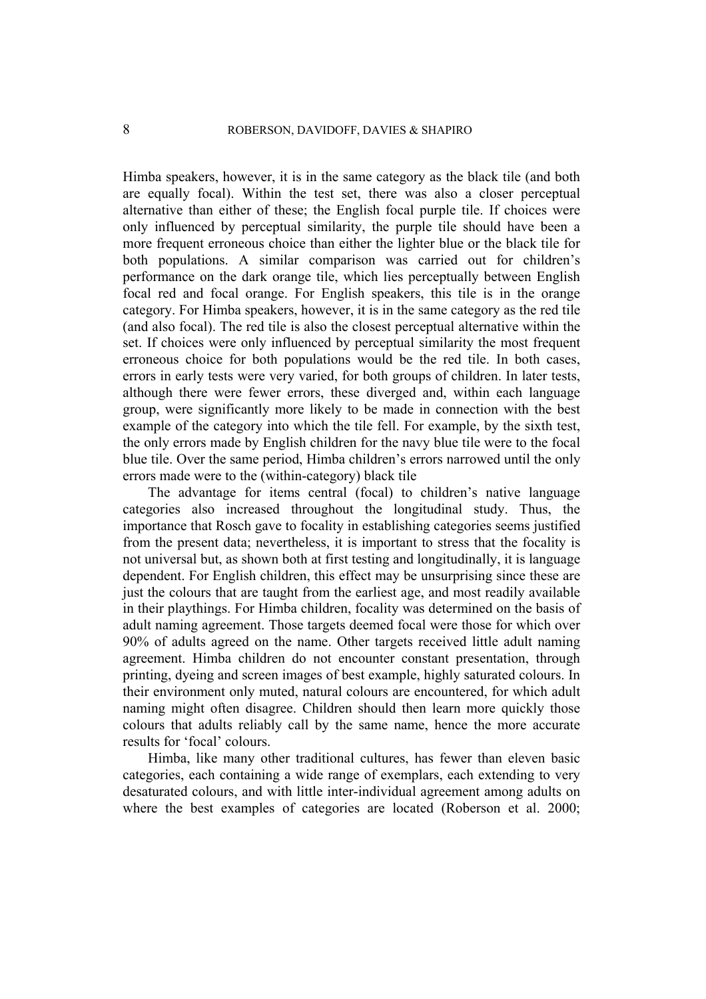Himba speakers, however, it is in the same category as the black tile (and both are equally focal). Within the test set, there was also a closer perceptual alternative than either of these; the English focal purple tile. If choices were only influenced by perceptual similarity, the purple tile should have been a more frequent erroneous choice than either the lighter blue or the black tile for both populations. A similar comparison was carried out for children's performance on the dark orange tile, which lies perceptually between English focal red and focal orange. For English speakers, this tile is in the orange category. For Himba speakers, however, it is in the same category as the red tile (and also focal). The red tile is also the closest perceptual alternative within the set. If choices were only influenced by perceptual similarity the most frequent erroneous choice for both populations would be the red tile. In both cases, errors in early tests were very varied, for both groups of children. In later tests, although there were fewer errors, these diverged and, within each language group, were significantly more likely to be made in connection with the best example of the category into which the tile fell. For example, by the sixth test, the only errors made by English children for the navy blue tile were to the focal blue tile. Over the same period, Himba children's errors narrowed until the only errors made were to the (within-category) black tile

The advantage for items central (focal) to children's native language categories also increased throughout the longitudinal study. Thus, the importance that Rosch gave to focality in establishing categories seems justified from the present data; nevertheless, it is important to stress that the focality is not universal but, as shown both at first testing and longitudinally, it is language dependent. For English children, this effect may be unsurprising since these are just the colours that are taught from the earliest age, and most readily available in their playthings. For Himba children, focality was determined on the basis of adult naming agreement. Those targets deemed focal were those for which over 90% of adults agreed on the name. Other targets received little adult naming agreement. Himba children do not encounter constant presentation, through printing, dyeing and screen images of best example, highly saturated colours. In their environment only muted, natural colours are encountered, for which adult naming might often disagree. Children should then learn more quickly those colours that adults reliably call by the same name, hence the more accurate results for 'focal' colours.

Himba, like many other traditional cultures, has fewer than eleven basic categories, each containing a wide range of exemplars, each extending to very desaturated colours, and with little inter-individual agreement among adults on where the best examples of categories are located (Roberson et al. 2000;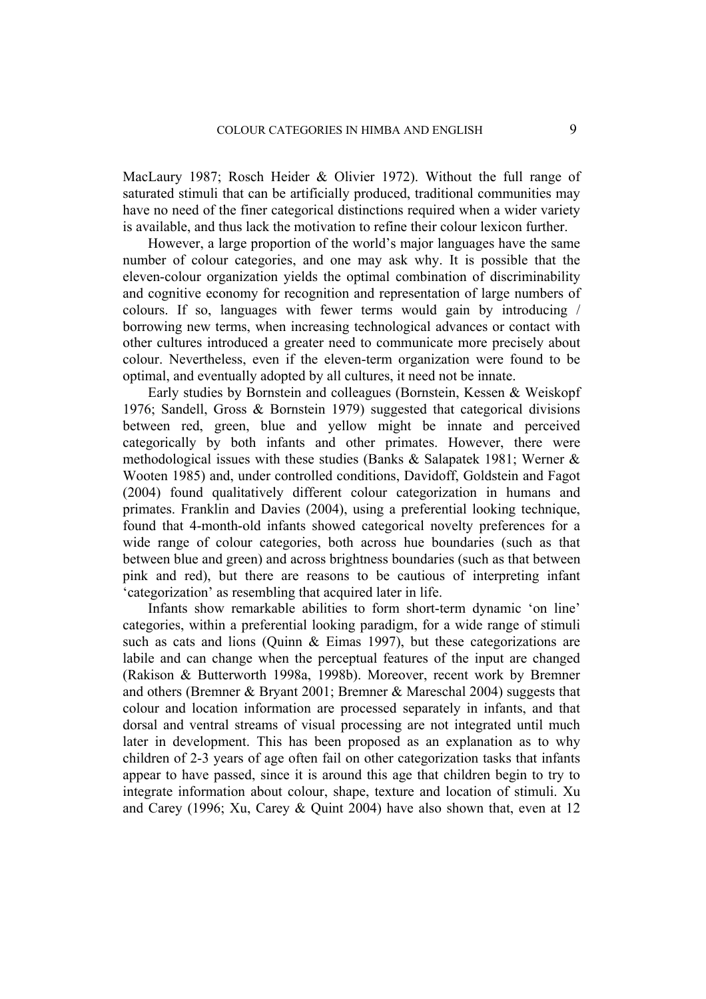MacLaury 1987; Rosch Heider & Olivier 1972). Without the full range of saturated stimuli that can be artificially produced, traditional communities may have no need of the finer categorical distinctions required when a wider variety is available, and thus lack the motivation to refine their colour lexicon further.

However, a large proportion of the world's major languages have the same number of colour categories, and one may ask why. It is possible that the eleven-colour organization yields the optimal combination of discriminability and cognitive economy for recognition and representation of large numbers of colours. If so, languages with fewer terms would gain by introducing / borrowing new terms, when increasing technological advances or contact with other cultures introduced a greater need to communicate more precisely about colour. Nevertheless, even if the eleven-term organization were found to be optimal, and eventually adopted by all cultures, it need not be innate.

Early studies by Bornstein and colleagues (Bornstein, Kessen & Weiskopf 1976; Sandell, Gross & Bornstein 1979) suggested that categorical divisions between red, green, blue and yellow might be innate and perceived categorically by both infants and other primates. However, there were methodological issues with these studies (Banks & Salapatek 1981; Werner & Wooten 1985) and, under controlled conditions, Davidoff, Goldstein and Fagot (2004) found qualitatively different colour categorization in humans and primates. Franklin and Davies (2004), using a preferential looking technique, found that 4-month-old infants showed categorical novelty preferences for a wide range of colour categories, both across hue boundaries (such as that between blue and green) and across brightness boundaries (such as that between pink and red), but there are reasons to be cautious of interpreting infant 'categorization' as resembling that acquired later in life.

Infants show remarkable abilities to form short-term dynamic 'on line' categories, within a preferential looking paradigm, for a wide range of stimuli such as cats and lions (Quinn & Eimas 1997), but these categorizations are labile and can change when the perceptual features of the input are changed (Rakison & Butterworth 1998a, 1998b). Moreover, recent work by Bremner and others (Bremner & Bryant 2001; Bremner & Mareschal 2004) suggests that colour and location information are processed separately in infants, and that dorsal and ventral streams of visual processing are not integrated until much later in development. This has been proposed as an explanation as to why children of 2-3 years of age often fail on other categorization tasks that infants appear to have passed, since it is around this age that children begin to try to integrate information about colour, shape, texture and location of stimuli. Xu and Carey (1996; Xu, Carey & Quint 2004) have also shown that, even at 12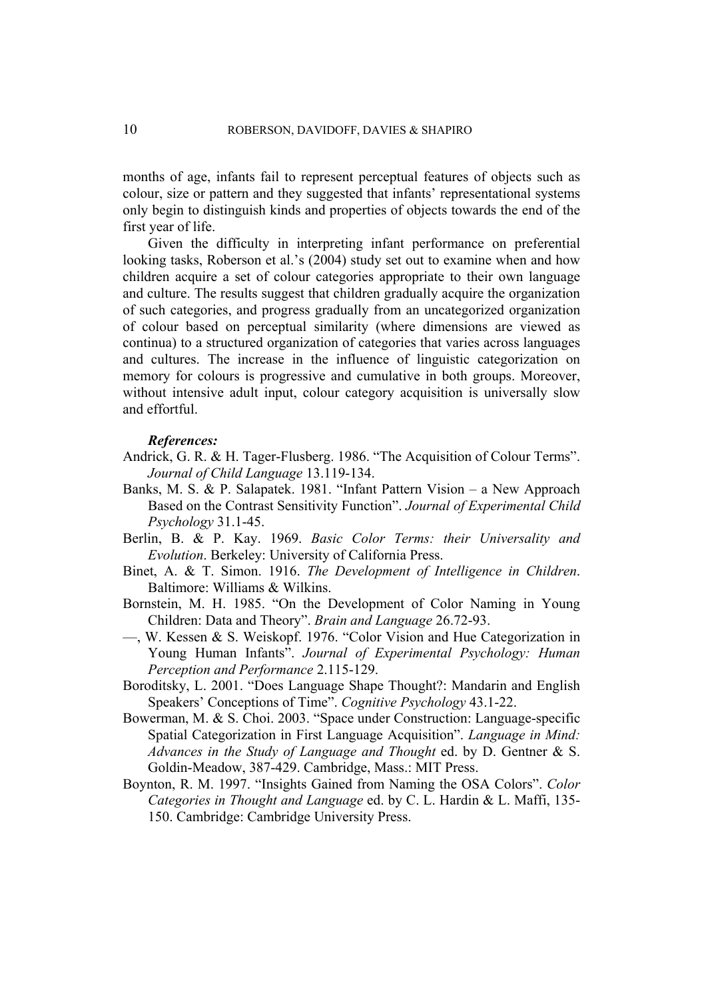months of age, infants fail to represent perceptual features of objects such as colour, size or pattern and they suggested that infants' representational systems only begin to distinguish kinds and properties of objects towards the end of the first year of life.

Given the difficulty in interpreting infant performance on preferential looking tasks, Roberson et al.'s (2004) study set out to examine when and how children acquire a set of colour categories appropriate to their own language and culture. The results suggest that children gradually acquire the organization of such categories, and progress gradually from an uncategorized organization of colour based on perceptual similarity (where dimensions are viewed as continua) to a structured organization of categories that varies across languages and cultures. The increase in the influence of linguistic categorization on memory for colours is progressive and cumulative in both groups. Moreover, without intensive adult input, colour category acquisition is universally slow and effortful.

## *References:*

- Andrick, G. R. & H. Tager-Flusberg. 1986. "The Acquisition of Colour Terms". *Journal of Child Language* 13.119-134.
- Banks, M. S. & P. Salapatek. 1981. "Infant Pattern Vision a New Approach Based on the Contrast Sensitivity Function". *Journal of Experimental Child Psychology* 31.1-45.
- Berlin, B. & P. Kay. 1969. *Basic Color Terms: their Universality and Evolution*. Berkeley: University of California Press.
- Binet, A. & T. Simon. 1916. *The Development of Intelligence in Children*. Baltimore: Williams & Wilkins.
- Bornstein, M. H. 1985. "On the Development of Color Naming in Young Children: Data and Theory". *Brain and Language* 26.72-93.
- —, W. Kessen & S. Weiskopf. 1976. "Color Vision and Hue Categorization in Young Human Infants". *Journal of Experimental Psychology: Human Perception and Performance* 2.115-129.
- Boroditsky, L. 2001. "Does Language Shape Thought?: Mandarin and English Speakers' Conceptions of Time". *Cognitive Psychology* 43.1-22.
- Bowerman, M. & S. Choi. 2003. "Space under Construction: Language-specific Spatial Categorization in First Language Acquisition". *Language in Mind: Advances in the Study of Language and Thought* ed. by D. Gentner & S. Goldin-Meadow, 387-429. Cambridge, Mass.: MIT Press.
- Boynton, R. M. 1997. "Insights Gained from Naming the OSA Colors". *Color Categories in Thought and Language* ed. by C. L. Hardin & L. Maffi, 135- 150. Cambridge: Cambridge University Press.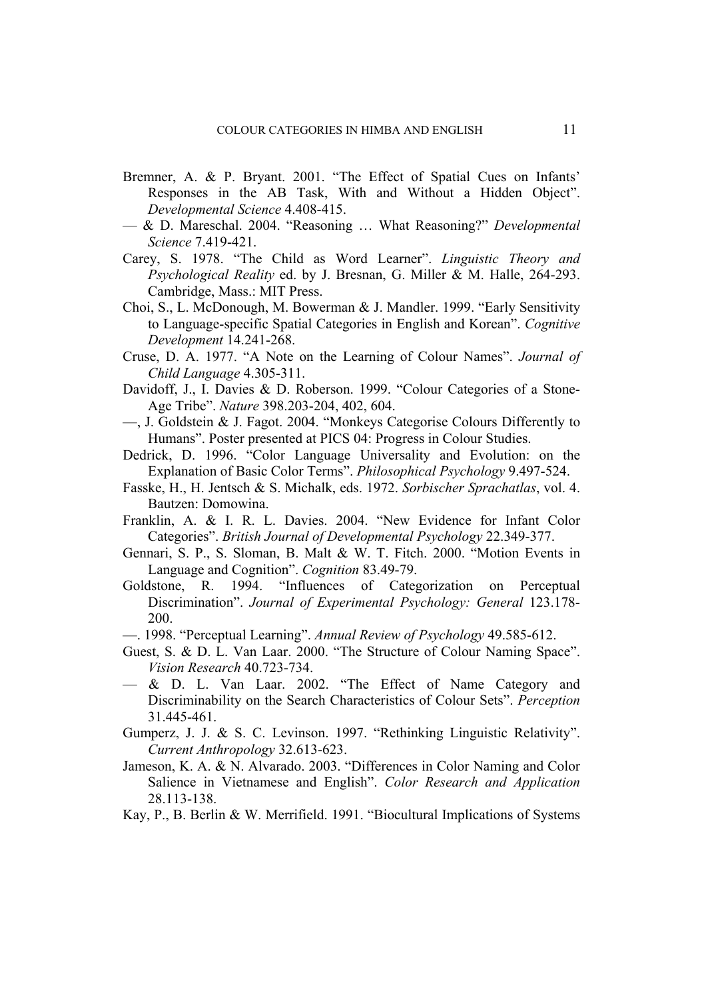- Bremner, A. & P. Bryant. 2001. "The Effect of Spatial Cues on Infants' Responses in the AB Task, With and Without a Hidden Object". *Developmental Science* 4.408-415.
- & D. Mareschal. 2004. "Reasoning … What Reasoning?" *Developmental Science* 7.419-421.
- Carey, S. 1978. "The Child as Word Learner". *Linguistic Theory and Psychological Reality* ed. by J. Bresnan, G. Miller & M. Halle, 264-293. Cambridge, Mass.: MIT Press.
- Choi, S., L. McDonough, M. Bowerman & J. Mandler. 1999. "Early Sensitivity to Language-specific Spatial Categories in English and Korean". *Cognitive Development* 14.241-268.
- Cruse, D. A. 1977. "A Note on the Learning of Colour Names". *Journal of Child Language* 4.305-311.
- Davidoff, J., I. Davies & D. Roberson. 1999. "Colour Categories of a Stone-Age Tribe". *Nature* 398.203-204, 402, 604.
- —, J. Goldstein & J. Fagot. 2004. "Monkeys Categorise Colours Differently to Humans". Poster presented at PICS 04: Progress in Colour Studies.
- Dedrick, D. 1996. "Color Language Universality and Evolution: on the Explanation of Basic Color Terms". *Philosophical Psychology* 9.497-524.
- Fasske, H., H. Jentsch & S. Michalk, eds. 1972. *Sorbischer Sprachatlas*, vol. 4. Bautzen: Domowina.
- Franklin, A. & I. R. L. Davies. 2004. "New Evidence for Infant Color Categories". *British Journal of Developmental Psychology* 22.349-377.
- Gennari, S. P., S. Sloman, B. Malt & W. T. Fitch. 2000. "Motion Events in Language and Cognition". *Cognition* 83.49-79.
- Goldstone, R. 1994. "Influences of Categorization on Perceptual Discrimination". *Journal of Experimental Psychology: General* 123.178- 200.
- —. 1998. "Perceptual Learning". *Annual Review of Psychology* 49.585-612.
- Guest, S. & D. L. Van Laar. 2000. "The Structure of Colour Naming Space". *Vision Research* 40.723-734.
- & D. L. Van Laar. 2002. "The Effect of Name Category and Discriminability on the Search Characteristics of Colour Sets". *Perception*  31.445-461.
- Gumperz, J. J. & S. C. Levinson. 1997. "Rethinking Linguistic Relativity". *Current Anthropology* 32.613-623.
- Jameson, K. A. & N. Alvarado. 2003. "Differences in Color Naming and Color Salience in Vietnamese and English". *Color Research and Application* 28.113-138.
- Kay, P., B. Berlin & W. Merrifield. 1991. "Biocultural Implications of Systems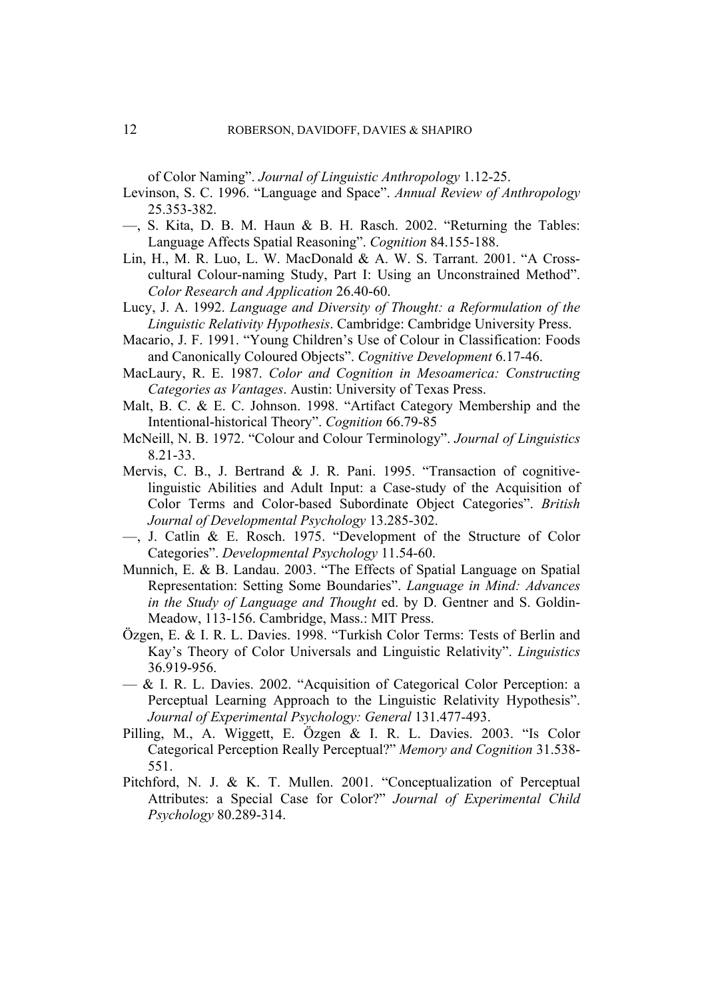of Color Naming". *Journal of Linguistic Anthropology* 1.12-25.

- Levinson, S. C. 1996. "Language and Space". *Annual Review of Anthropology*  25.353-382.
- —, S. Kita, D. B. M. Haun & B. H. Rasch. 2002. "Returning the Tables: Language Affects Spatial Reasoning". *Cognition* 84.155-188.
- Lin, H., M. R. Luo, L. W. MacDonald & A. W. S. Tarrant. 2001. "A Crosscultural Colour-naming Study, Part I: Using an Unconstrained Method". *Color Research and Application* 26.40-60.
- Lucy, J. A. 1992. *Language and Diversity of Thought: a Reformulation of the Linguistic Relativity Hypothesis*. Cambridge: Cambridge University Press.
- Macario, J. F. 1991. "Young Children's Use of Colour in Classification: Foods and Canonically Coloured Objects". *Cognitive Development* 6.17-46.
- MacLaury, R. E. 1987. *Color and Cognition in Mesoamerica: Constructing Categories as Vantages*. Austin: University of Texas Press.
- Malt, B. C. & E. C. Johnson. 1998. "Artifact Category Membership and the Intentional-historical Theory". *Cognition* 66.79-85
- McNeill, N. B. 1972. "Colour and Colour Terminology". *Journal of Linguistics* 8.21-33.
- Mervis, C. B., J. Bertrand & J. R. Pani. 1995. "Transaction of cognitivelinguistic Abilities and Adult Input: a Case-study of the Acquisition of Color Terms and Color-based Subordinate Object Categories". *British Journal of Developmental Psychology* 13.285-302.
- —, J. Catlin & E. Rosch. 1975. "Development of the Structure of Color Categories". *Developmental Psychology* 11.54-60.
- Munnich, E. & B. Landau. 2003. "The Effects of Spatial Language on Spatial Representation: Setting Some Boundaries". *Language in Mind: Advances in the Study of Language and Thought* ed. by D. Gentner and S. Goldin-Meadow, 113-156. Cambridge, Mass.: MIT Press.
- Özgen, E. & I. R. L. Davies. 1998. "Turkish Color Terms: Tests of Berlin and Kay's Theory of Color Universals and Linguistic Relativity". *Linguistics*  36.919-956.
- & I. R. L. Davies. 2002. "Acquisition of Categorical Color Perception: a Perceptual Learning Approach to the Linguistic Relativity Hypothesis". *Journal of Experimental Psychology: General* 131.477-493.
- Pilling, M., A. Wiggett, E. Özgen & I. R. L. Davies. 2003. "Is Color Categorical Perception Really Perceptual?" *Memory and Cognition* 31.538- 551.
- Pitchford, N. J. & K. T. Mullen. 2001. "Conceptualization of Perceptual Attributes: a Special Case for Color?" *Journal of Experimental Child Psychology* 80.289-314.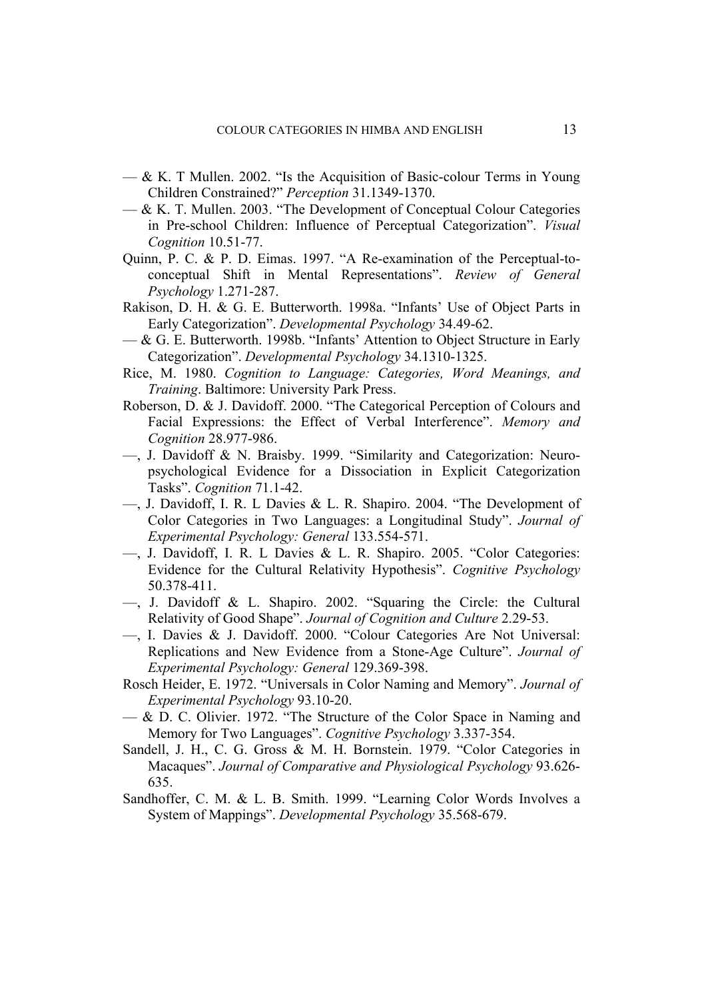- $-\&$  K. T Mullen. 2002. "Is the Acquisition of Basic-colour Terms in Young Children Constrained?" *Perception* 31.1349-1370.
- & K. T. Mullen. 2003. "The Development of Conceptual Colour Categories in Pre-school Children: Influence of Perceptual Categorization". *Visual Cognition* 10.51-77.
- Quinn, P. C. & P. D. Eimas. 1997. "A Re-examination of the Perceptual-toconceptual Shift in Mental Representations". *Review of General Psychology* 1.271-287.
- Rakison, D. H. & G. E. Butterworth. 1998a. "Infants' Use of Object Parts in Early Categorization". *Developmental Psychology* 34.49-62.
- & G. E. Butterworth. 1998b. "Infants' Attention to Object Structure in Early Categorization". *Developmental Psychology* 34.1310-1325.
- Rice, M. 1980. *Cognition to Language: Categories, Word Meanings, and Training*. Baltimore: University Park Press.
- Roberson, D. & J. Davidoff. 2000. "The Categorical Perception of Colours and Facial Expressions: the Effect of Verbal Interference". *Memory and Cognition* 28.977-986.
- —, J. Davidoff & N. Braisby. 1999. "Similarity and Categorization: Neuropsychological Evidence for a Dissociation in Explicit Categorization Tasks". *Cognition* 71.1-42.
- —, J. Davidoff, I. R. L Davies & L. R. Shapiro. 2004. "The Development of Color Categories in Two Languages: a Longitudinal Study". *Journal of Experimental Psychology: General* 133.554-571.
- —, J. Davidoff, I. R. L Davies & L. R. Shapiro. 2005. "Color Categories: Evidence for the Cultural Relativity Hypothesis". *Cognitive Psychology* 50.378-411.
- —, J. Davidoff & L. Shapiro. 2002. "Squaring the Circle: the Cultural Relativity of Good Shape". *Journal of Cognition and Culture* 2.29-53.
- —, I. Davies & J. Davidoff. 2000. "Colour Categories Are Not Universal: Replications and New Evidence from a Stone-Age Culture". *Journal of Experimental Psychology: General* 129.369-398.
- Rosch Heider, E. 1972. "Universals in Color Naming and Memory". *Journal of Experimental Psychology* 93.10-20.
- & D. C. Olivier. 1972. "The Structure of the Color Space in Naming and Memory for Two Languages". *Cognitive Psychology* 3.337-354.
- Sandell, J. H., C. G. Gross & M. H. Bornstein. 1979. "Color Categories in Macaques". *Journal of Comparative and Physiological Psychology* 93.626- 635.
- Sandhoffer, C. M. & L. B. Smith. 1999. "Learning Color Words Involves a System of Mappings". *Developmental Psychology* 35.568-679.